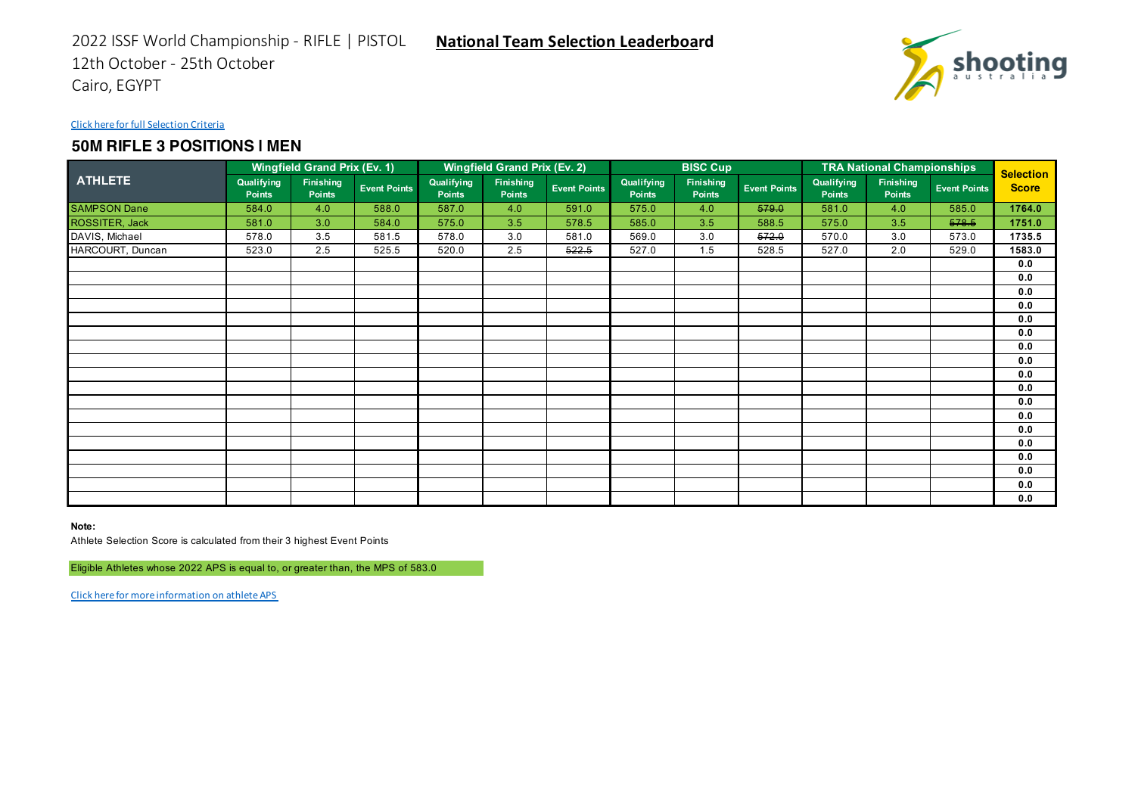

## **50M RIFLE 3 POSITIONS | MEN**

| <b>ATHLETE</b>        | <b>Wingfield Grand Prix (Ev. 1)</b> |                            |                     | <b>Wingfield Grand Prix (Ev. 2)</b> |                            |                     |                      | <b>BISC Cup</b>     |                     | <b>TRA National Championships</b> | <b>Selection</b>           |                     |              |
|-----------------------|-------------------------------------|----------------------------|---------------------|-------------------------------------|----------------------------|---------------------|----------------------|---------------------|---------------------|-----------------------------------|----------------------------|---------------------|--------------|
|                       | Qualifying<br><b>Points</b>         | <b>Finishing</b><br>Points | <b>Event Points</b> | Qualifying<br>Points                | <b>Finishing</b><br>Points | <b>Event Points</b> | Qualifying<br>Points | Finishing<br>Points | <b>Event Points</b> | Qualifying<br><b>Points</b>       | Finishing<br><b>Points</b> | <b>Event Points</b> | <b>Score</b> |
| <b>SAMPSON Dane</b>   | 584.0                               | 4.0                        | 588.0               | 587.0                               | 4.0                        | 591.0               | 575.0                | 4.0                 | 579.0               | 581.0                             | 4.0                        | 585.0               | 1764.0       |
| <b>ROSSITER, Jack</b> | 581.0                               | 3.0                        | 584.0               | 575.0                               | 3.5                        | 578.5               | 585.0                | 3.5                 | 588.5               | 575.0                             | 3.5                        | 578.5               | 1751.0       |
| DAVIS, Michael        | 578.0                               | 3.5                        | 581.5               | 578.0                               | 3.0                        | 581.0               | 569.0                | 3.0                 | 572.0               | 570.0                             | 3.0                        | 573.0               | 1735.5       |
| HARCOURT, Duncan      | 523.0                               | 2.5                        | 525.5               | 520.0                               | 2.5                        | 522.5               | 527.0                | 1.5                 | 528.5               | 527.0                             | 2.0                        | 529.0               | 1583.0       |
|                       |                                     |                            |                     |                                     |                            |                     |                      |                     |                     |                                   |                            |                     | 0.0          |
|                       |                                     |                            |                     |                                     |                            |                     |                      |                     |                     |                                   |                            |                     | 0.0          |
|                       |                                     |                            |                     |                                     |                            |                     |                      |                     |                     |                                   |                            |                     | 0.0          |
|                       |                                     |                            |                     |                                     |                            |                     |                      |                     |                     |                                   |                            |                     | 0.0          |
|                       |                                     |                            |                     |                                     |                            |                     |                      |                     |                     |                                   |                            |                     | 0.0          |
|                       |                                     |                            |                     |                                     |                            |                     |                      |                     |                     |                                   |                            |                     | 0.0          |
|                       |                                     |                            |                     |                                     |                            |                     |                      |                     |                     |                                   |                            |                     | 0.0          |
|                       |                                     |                            |                     |                                     |                            |                     |                      |                     |                     |                                   |                            |                     | 0.0          |
|                       |                                     |                            |                     |                                     |                            |                     |                      |                     |                     |                                   |                            |                     | 0.0          |
|                       |                                     |                            |                     |                                     |                            |                     |                      |                     |                     |                                   |                            |                     | 0.0          |
|                       |                                     |                            |                     |                                     |                            |                     |                      |                     |                     |                                   |                            |                     | 0.0          |
|                       |                                     |                            |                     |                                     |                            |                     |                      |                     |                     |                                   |                            |                     | 0.0          |
|                       |                                     |                            |                     |                                     |                            |                     |                      |                     |                     |                                   |                            |                     | 0.0          |
|                       |                                     |                            |                     |                                     |                            |                     |                      |                     |                     |                                   |                            |                     | 0.0          |
|                       |                                     |                            |                     |                                     |                            |                     |                      |                     |                     |                                   |                            |                     | 0.0          |
|                       |                                     |                            |                     |                                     |                            |                     |                      |                     |                     |                                   |                            |                     | 0.0          |
|                       |                                     |                            |                     |                                     |                            |                     |                      |                     |                     |                                   |                            |                     | 0.0          |
|                       |                                     |                            |                     |                                     |                            |                     |                      |                     |                     |                                   |                            |                     | 0.0          |

#### **Note:**

Athlete Selection Score is calculated from their 3 highest Event Points

Eligible Athletes whose 2022 APS is equal to, or greater than, the MPS of 583.0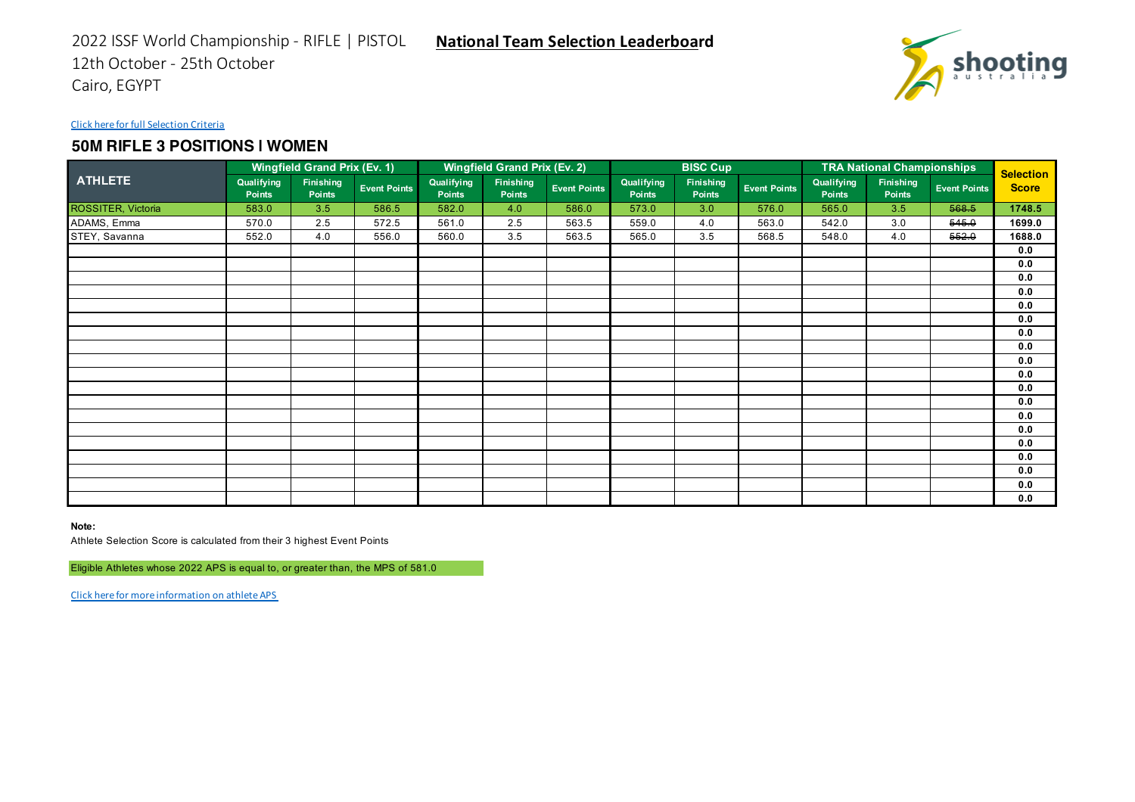

## **50M RIFLE 3 POSITIONS | WOMEN**

|                    | <b>Wingfield Grand Prix (Ev. 1)</b> |                     |                     | <b>Wingfield Grand Prix (Ev. 2)</b> |                            |                     | <b>BISC Cup</b>      |                            |                     | <b>TRA National Championships</b> | <b>Selection</b>    |                     |              |
|--------------------|-------------------------------------|---------------------|---------------------|-------------------------------------|----------------------------|---------------------|----------------------|----------------------------|---------------------|-----------------------------------|---------------------|---------------------|--------------|
| <b>ATHLETE</b>     | Qualifying<br><b>Points</b>         | Finishing<br>Points | <b>Event Points</b> | Qualifying<br>Points                | <b>Finishing</b><br>Points | <b>Event Points</b> | Qualifying<br>Points | <b>Finishing</b><br>Points | <b>Event Points</b> | Qualifying<br><b>Points</b>       | Finishing<br>Points | <b>Event Points</b> | <b>Score</b> |
| ROSSITER, Victoria | 583.0                               | 3.5                 | 586.5               | 582.0                               | 4.0                        | 586.0               | 573.0                | 3.0                        | 576.0               | 565.0                             | 3.5                 | 568.5               | 1748.5       |
| ADAMS, Emma        | 570.0                               | 2.5                 | 572.5               | 561.0                               | 2.5                        | 563.5               | 559.0                | 4.0                        | 563.0               | 542.0                             | 3.0                 | 545.0               | 1699.0       |
| STEY, Savanna      | 552.0                               | 4.0                 | 556.0               | 560.0                               | 3.5                        | 563.5               | 565.0                | 3.5                        | 568.5               | 548.0                             | 4.0                 | 552.0               | 1688.0       |
|                    |                                     |                     |                     |                                     |                            |                     |                      |                            |                     |                                   |                     |                     | 0.0          |
|                    |                                     |                     |                     |                                     |                            |                     |                      |                            |                     |                                   |                     |                     | 0.0          |
|                    |                                     |                     |                     |                                     |                            |                     |                      |                            |                     |                                   |                     |                     | 0.0          |
|                    |                                     |                     |                     |                                     |                            |                     |                      |                            |                     |                                   |                     |                     | 0.0          |
|                    |                                     |                     |                     |                                     |                            |                     |                      |                            |                     |                                   |                     |                     | 0.0          |
|                    |                                     |                     |                     |                                     |                            |                     |                      |                            |                     |                                   |                     |                     | 0.0          |
|                    |                                     |                     |                     |                                     |                            |                     |                      |                            |                     |                                   |                     |                     | 0.0          |
|                    |                                     |                     |                     |                                     |                            |                     |                      |                            |                     |                                   |                     |                     | 0.0          |
|                    |                                     |                     |                     |                                     |                            |                     |                      |                            |                     |                                   |                     |                     | 0.0          |
|                    |                                     |                     |                     |                                     |                            |                     |                      |                            |                     |                                   |                     |                     | 0.0          |
|                    |                                     |                     |                     |                                     |                            |                     |                      |                            |                     |                                   |                     |                     | 0.0          |
|                    |                                     |                     |                     |                                     |                            |                     |                      |                            |                     |                                   |                     |                     | 0.0          |
|                    |                                     |                     |                     |                                     |                            |                     |                      |                            |                     |                                   |                     |                     | 0.0          |
|                    |                                     |                     |                     |                                     |                            |                     |                      |                            |                     |                                   |                     |                     | 0.0          |
|                    |                                     |                     |                     |                                     |                            |                     |                      |                            |                     |                                   |                     |                     | 0.0          |
|                    |                                     |                     |                     |                                     |                            |                     |                      |                            |                     |                                   |                     |                     | 0.0          |
|                    |                                     |                     |                     |                                     |                            |                     |                      |                            |                     |                                   |                     |                     | 0.0          |
|                    |                                     |                     |                     |                                     |                            |                     |                      |                            |                     |                                   |                     |                     | 0.0          |
|                    |                                     |                     |                     |                                     |                            |                     |                      |                            |                     |                                   |                     |                     | 0.0          |

#### **Note:**

Athlete Selection Score is calculated from their 3 highest Event Points

Eligible Athletes whose 2022 APS is equal to, or greater than, the MPS of 581.0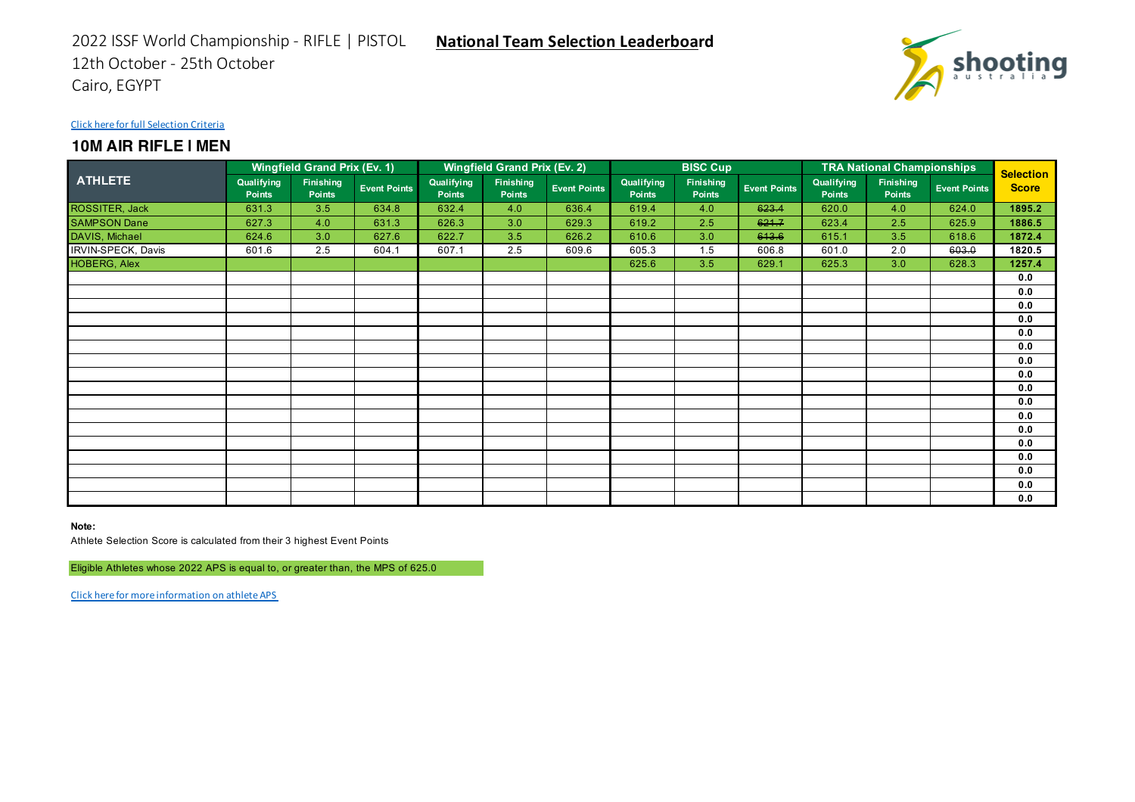

## **10M AIR RIFLE | MEN**

|                     | <b>Wingfield Grand Prix (Ev. 1)</b> |                     |                     | <b>Wingfield Grand Prix (Ev. 2)</b> |                            |                     |                             | <b>BISC Cup</b>            |                     | <b>TRA National Championships</b> |                     |                     | <b>Selection</b> |
|---------------------|-------------------------------------|---------------------|---------------------|-------------------------------------|----------------------------|---------------------|-----------------------------|----------------------------|---------------------|-----------------------------------|---------------------|---------------------|------------------|
| <b>ATHLETE</b>      | Qualifying<br><b>Points</b>         | Finishing<br>Points | <b>Event Points</b> | Qualifying<br>Points                | <b>Finishing</b><br>Points | <b>Event Points</b> | Qualifying<br><b>Points</b> | <b>Finishing</b><br>Points | <b>Event Points</b> | Qualifying<br><b>Points</b>       | Finishing<br>Points | <b>Event Points</b> | <b>Score</b>     |
| ROSSITER, Jack      | 631.3                               | 3.5                 | 634.8               | 632.4                               | 4.0                        | 636.4               | 619.4                       | 4.0                        | 623.4               | 620.0                             | 4.0                 | 624.0               | 1895.2           |
| <b>SAMPSON Dane</b> | 627.3                               | 4.0                 | 631.3               | 626.3                               | 3.0                        | 629.3               | 619.2                       | 2.5                        | 621.7               | 623.4                             | 2.5                 | 625.9               | 1886.5           |
| DAVIS, Michael      | 624.6                               | 3.0                 | 627.6               | 622.7                               | 3.5                        | 626.2               | 610.6                       | 3.0                        | 613.6               | 615.1                             | 3.5                 | 618.6               | 1872.4           |
| IRVIN-SPECK, Davis  | 601.6                               | 2.5                 | 604.1               | 607.1                               | 2.5                        | 609.6               | 605.3                       | 1.5                        | 606.8               | 601.0                             | 2.0                 | 603.0               | 1820.5           |
| <b>HOBERG, Alex</b> |                                     |                     |                     |                                     |                            |                     | 625.6                       | 3.5                        | 629.1               | 625.3                             | 3.0                 | 628.3               | 1257.4           |
|                     |                                     |                     |                     |                                     |                            |                     |                             |                            |                     |                                   |                     |                     | 0.0              |
|                     |                                     |                     |                     |                                     |                            |                     |                             |                            |                     |                                   |                     |                     | 0.0              |
|                     |                                     |                     |                     |                                     |                            |                     |                             |                            |                     |                                   |                     |                     | 0.0              |
|                     |                                     |                     |                     |                                     |                            |                     |                             |                            |                     |                                   |                     |                     | 0.0              |
|                     |                                     |                     |                     |                                     |                            |                     |                             |                            |                     |                                   |                     |                     | 0.0              |
|                     |                                     |                     |                     |                                     |                            |                     |                             |                            |                     |                                   |                     |                     | 0.0              |
|                     |                                     |                     |                     |                                     |                            |                     |                             |                            |                     |                                   |                     |                     | 0.0              |
|                     |                                     |                     |                     |                                     |                            |                     |                             |                            |                     |                                   |                     |                     | 0.0              |
|                     |                                     |                     |                     |                                     |                            |                     |                             |                            |                     |                                   |                     |                     | 0.0              |
|                     |                                     |                     |                     |                                     |                            |                     |                             |                            |                     |                                   |                     |                     | 0.0              |
|                     |                                     |                     |                     |                                     |                            |                     |                             |                            |                     |                                   |                     |                     | 0.0              |
|                     |                                     |                     |                     |                                     |                            |                     |                             |                            |                     |                                   |                     |                     | 0.0              |
|                     |                                     |                     |                     |                                     |                            |                     |                             |                            |                     |                                   |                     |                     | 0.0              |
|                     |                                     |                     |                     |                                     |                            |                     |                             |                            |                     |                                   |                     |                     | 0.0              |
|                     |                                     |                     |                     |                                     |                            |                     |                             |                            |                     |                                   |                     |                     | 0.0              |
|                     |                                     |                     |                     |                                     |                            |                     |                             |                            |                     |                                   |                     |                     | 0.0              |
|                     |                                     |                     |                     |                                     |                            |                     |                             |                            |                     |                                   |                     |                     | 0.0              |

#### **Note:**

Athlete Selection Score is calculated from their 3 highest Event Points

Eligible Athletes whose 2022 APS is equal to, or greater than, the MPS of 625.0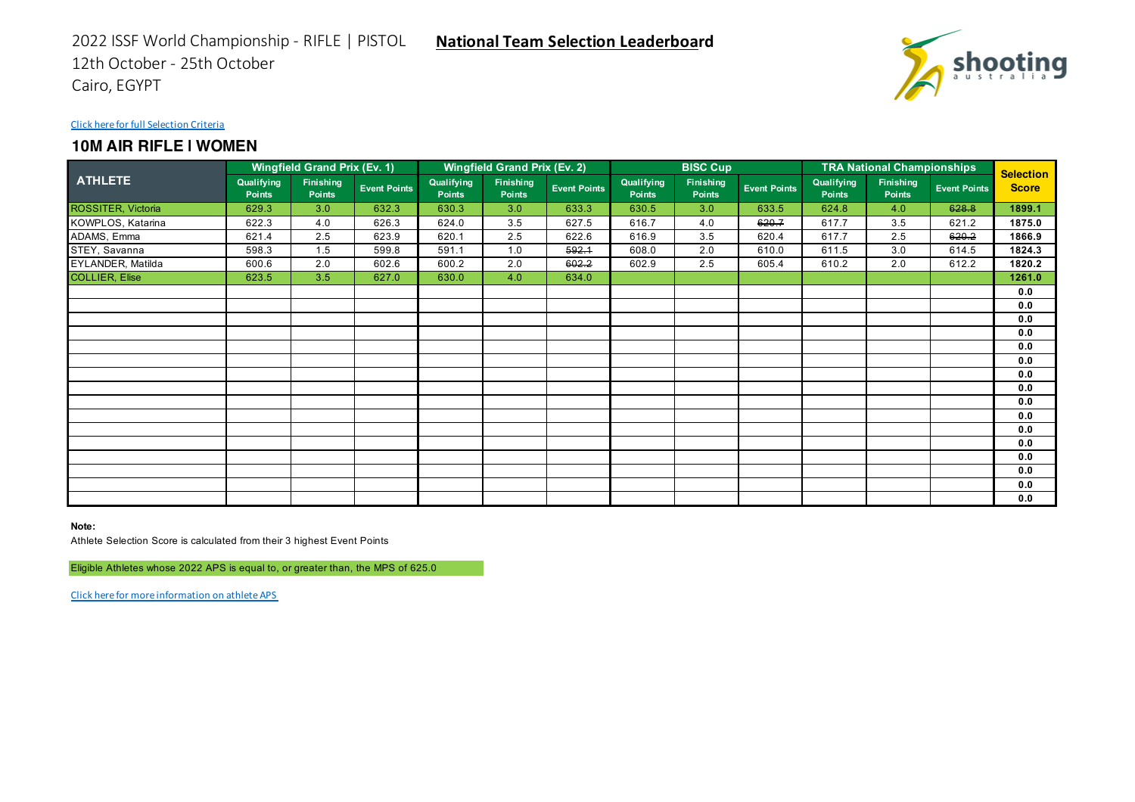

## **10M AIR RIFLE | WOMEN**

|                       | <b>Wingfield Grand Prix (Ev. 1)</b> |                            |                     | <b>Wingfield Grand Prix (Ev. 2)</b> |                     |                     |                             | <b>BISC Cup</b>     |                     | <b>TRA National Championships</b> | <b>Selection</b>    |                     |              |
|-----------------------|-------------------------------------|----------------------------|---------------------|-------------------------------------|---------------------|---------------------|-----------------------------|---------------------|---------------------|-----------------------------------|---------------------|---------------------|--------------|
| <b>ATHLETE</b>        | Qualifying<br><b>Points</b>         | <b>Finishing</b><br>Points | <b>Event Points</b> | Qualifying<br>Points                | Finishing<br>Points | <b>Event Points</b> | Qualifying<br><b>Points</b> | Finishing<br>Points | <b>Event Points</b> | Qualifying<br><b>Points</b>       | Finishing<br>Points | <b>Event Points</b> | <b>Score</b> |
| ROSSITER, Victoria    | 629.3                               | 3.0                        | 632.3               | 630.3                               | 3.0                 | 633.3               | 630.5                       | 3.0                 | 633.5               | 624.8                             | 4.0                 | 628.8               | 1899.1       |
| KOWPLOS, Katarina     | 622.3                               | 4.0                        | 626.3               | 624.0                               | 3.5                 | 627.5               | 616.7                       | 4.0                 | 620.7               | 617.7                             | 3.5                 | 621.2               | 1875.0       |
| ADAMS, Emma           | 621.4                               | 2.5                        | 623.9               | 620.1                               | 2.5                 | 622.6               | 616.9                       | 3.5                 | 620.4               | 617.7                             | 2.5                 | 620.2               | 1866.9       |
| STEY, Savanna         | 598.3                               | 1.5                        | 599.8               | 591.1                               | 1.0                 | 592.1               | 608.0                       | 2.0                 | 610.0               | 611.5                             | 3.0                 | 614.5               | 1824.3       |
| EYLANDER, Matilda     | 600.6                               | 2.0                        | 602.6               | 600.2                               | 2.0                 | 602.2               | 602.9                       | 2.5                 | 605.4               | 610.2                             | 2.0                 | 612.2               | 1820.2       |
| <b>COLLIER, Elise</b> | 623.5                               | 3.5                        | 627.0               | 630.0                               | 4.0                 | 634.0               |                             |                     |                     |                                   |                     |                     | 1261.0       |
|                       |                                     |                            |                     |                                     |                     |                     |                             |                     |                     |                                   |                     |                     | 0.0          |
|                       |                                     |                            |                     |                                     |                     |                     |                             |                     |                     |                                   |                     |                     | 0.0          |
|                       |                                     |                            |                     |                                     |                     |                     |                             |                     |                     |                                   |                     |                     | 0.0          |
|                       |                                     |                            |                     |                                     |                     |                     |                             |                     |                     |                                   |                     |                     | 0.0          |
|                       |                                     |                            |                     |                                     |                     |                     |                             |                     |                     |                                   |                     |                     | 0.0          |
|                       |                                     |                            |                     |                                     |                     |                     |                             |                     |                     |                                   |                     |                     | 0.0          |
|                       |                                     |                            |                     |                                     |                     |                     |                             |                     |                     |                                   |                     |                     | 0.0          |
|                       |                                     |                            |                     |                                     |                     |                     |                             |                     |                     |                                   |                     |                     | 0.0          |
|                       |                                     |                            |                     |                                     |                     |                     |                             |                     |                     |                                   |                     |                     | 0.0          |
|                       |                                     |                            |                     |                                     |                     |                     |                             |                     |                     |                                   |                     |                     | 0.0          |
|                       |                                     |                            |                     |                                     |                     |                     |                             |                     |                     |                                   |                     |                     | 0.0          |
|                       |                                     |                            |                     |                                     |                     |                     |                             |                     |                     |                                   |                     |                     | 0.0          |
|                       |                                     |                            |                     |                                     |                     |                     |                             |                     |                     |                                   |                     |                     | 0.0          |
|                       |                                     |                            |                     |                                     |                     |                     |                             |                     |                     |                                   |                     |                     | 0.0          |
|                       |                                     |                            |                     |                                     |                     |                     |                             |                     |                     |                                   |                     |                     | 0.0          |
|                       |                                     |                            |                     |                                     |                     |                     |                             |                     |                     |                                   |                     |                     | 0.0          |

#### **Note:**

Athlete Selection Score is calculated from their 3 highest Event Points

Eligible Athletes whose 2022 APS is equal to, or greater than, the MPS of 625.0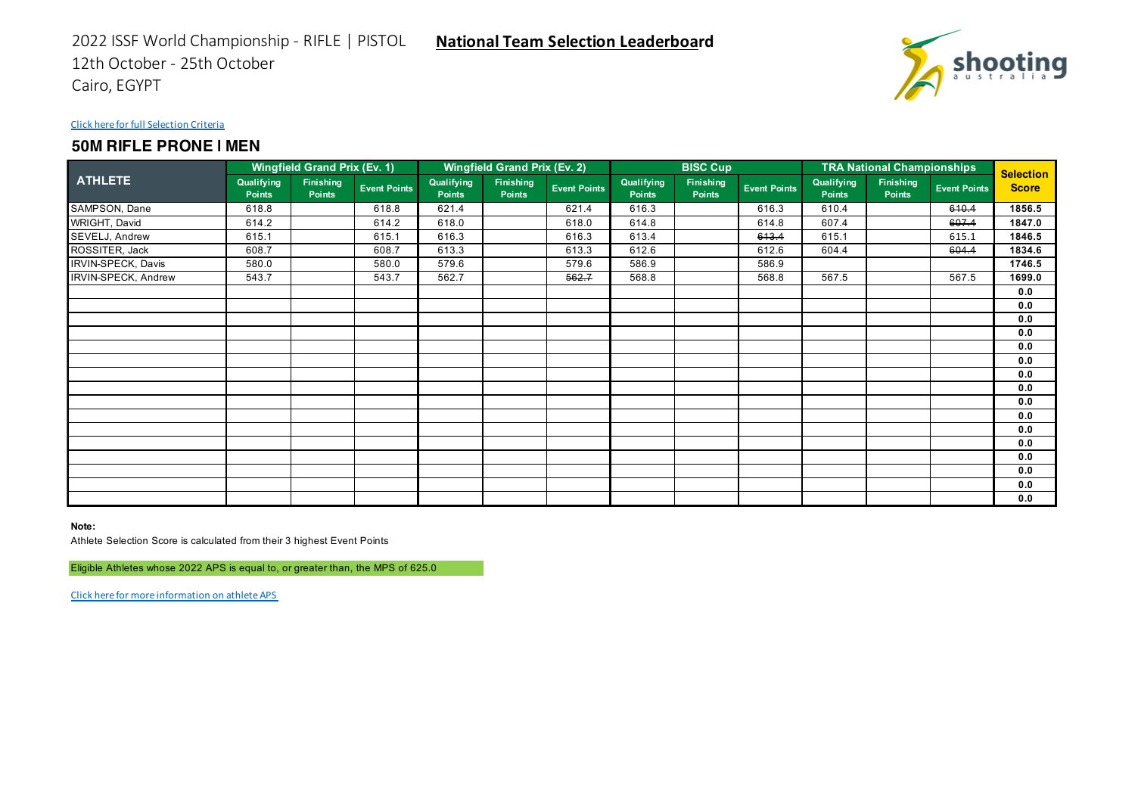

# Cairo, EGYPT

### Click here for full Selection Criteria

### **50M RIFLE PRONE | MEN**

|                     | <b>Wingfield Grand Prix (Ev. 1)</b> |                            |                     | <b>Wingfield Grand Prix (Ev. 2)</b> |                     |                                                                                                         | <b>BISC Cup</b>             |                            |                     | <b>TRA National Championships</b> |  |       | <b>Selection</b> |
|---------------------|-------------------------------------|----------------------------|---------------------|-------------------------------------|---------------------|---------------------------------------------------------------------------------------------------------|-----------------------------|----------------------------|---------------------|-----------------------------------|--|-------|------------------|
| <b>ATHLETE</b>      | Qualifying<br>Points                | <b>Finishing</b><br>Points | <b>Event Points</b> | Qualifying<br>Points                | Finishing<br>Points | Qualifying<br>Finishing<br><b>Event Points</b><br><b>Event Points</b><br><b>Points</b><br><b>Points</b> | Qualifying<br><b>Points</b> | Finishing<br><b>Points</b> | <b>Event Points</b> | <b>Score</b>                      |  |       |                  |
| SAMPSON, Dane       | 618.8                               |                            | 618.8               | 621.4                               |                     | 621.4                                                                                                   | 616.3                       |                            | 616.3               | 610.4                             |  | 610.4 | 1856.5           |
| WRIGHT, David       | 614.2                               |                            | 614.2               | 618.0                               |                     | 618.0                                                                                                   | 614.8                       |                            | 614.8               | 607.4                             |  | 607.4 | 1847.0           |
| SEVELJ, Andrew      | 615.1                               |                            | 615.1               | 616.3                               |                     | 616.3                                                                                                   | 613.4                       |                            | 613.4               | 615.1                             |  | 615.1 | 1846.5           |
| ROSSITER, Jack      | 608.7                               |                            | 608.7               | 613.3                               |                     | 613.3                                                                                                   | 612.6                       |                            | 612.6               | 604.4                             |  | 604.4 | 1834.6           |
| IRVIN-SPECK, Davis  | 580.0                               |                            | 580.0               | 579.6                               |                     | 579.6                                                                                                   | 586.9                       |                            | 586.9               |                                   |  |       | 1746.5           |
| IRVIN-SPECK, Andrew | 543.7                               |                            | 543.7               | 562.7                               |                     | 562.7                                                                                                   | 568.8                       |                            | 568.8               | 567.5                             |  | 567.5 | 1699.0           |
|                     |                                     |                            |                     |                                     |                     |                                                                                                         |                             |                            |                     |                                   |  |       | 0.0              |
|                     |                                     |                            |                     |                                     |                     |                                                                                                         |                             |                            |                     |                                   |  |       | 0.0              |
|                     |                                     |                            |                     |                                     |                     |                                                                                                         |                             |                            |                     |                                   |  |       | 0.0              |
|                     |                                     |                            |                     |                                     |                     |                                                                                                         |                             |                            |                     |                                   |  |       | 0.0              |
|                     |                                     |                            |                     |                                     |                     |                                                                                                         |                             |                            |                     |                                   |  |       | 0.0              |
|                     |                                     |                            |                     |                                     |                     |                                                                                                         |                             |                            |                     |                                   |  |       | 0.0              |
|                     |                                     |                            |                     |                                     |                     |                                                                                                         |                             |                            |                     |                                   |  |       | 0.0              |
|                     |                                     |                            |                     |                                     |                     |                                                                                                         |                             |                            |                     |                                   |  |       | 0.0              |
|                     |                                     |                            |                     |                                     |                     |                                                                                                         |                             |                            |                     |                                   |  |       | 0.0              |
|                     |                                     |                            |                     |                                     |                     |                                                                                                         |                             |                            |                     |                                   |  |       | 0.0              |
|                     |                                     |                            |                     |                                     |                     |                                                                                                         |                             |                            |                     |                                   |  |       | 0.0              |
|                     |                                     |                            |                     |                                     |                     |                                                                                                         |                             |                            |                     |                                   |  |       | 0.0              |
|                     |                                     |                            |                     |                                     |                     |                                                                                                         |                             |                            |                     |                                   |  |       | 0.0              |
|                     |                                     |                            |                     |                                     |                     |                                                                                                         |                             |                            |                     |                                   |  |       | 0.0              |
|                     |                                     |                            |                     |                                     |                     |                                                                                                         |                             |                            |                     |                                   |  |       | 0.0              |
|                     |                                     |                            |                     |                                     |                     |                                                                                                         |                             |                            |                     |                                   |  |       | 0.0              |

#### **Note:**

Athlete Selection Score is calculated from their 3 highest Event Points

Eligible Athletes whose 2022 APS is equal to, or greater than, the MPS of 625.0